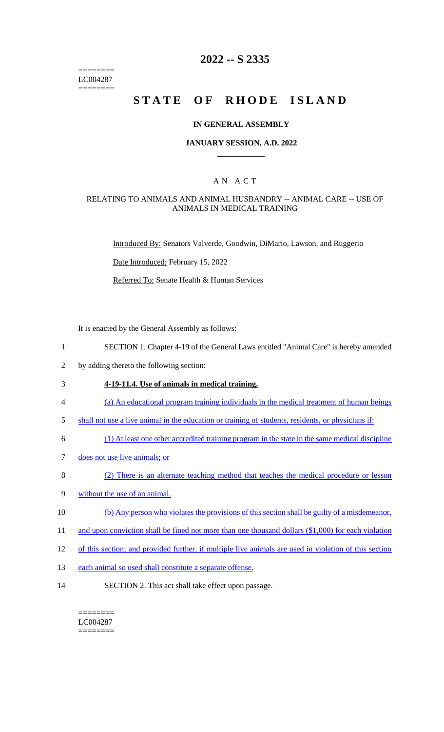======== LC004287 ========

# **2022 -- S 2335**

# **STATE OF RHODE ISLAND**

### **IN GENERAL ASSEMBLY**

### **JANUARY SESSION, A.D. 2022 \_\_\_\_\_\_\_\_\_\_\_\_**

# A N A C T

### RELATING TO ANIMALS AND ANIMAL HUSBANDRY -- ANIMAL CARE -- USE OF ANIMALS IN MEDICAL TRAINING

Introduced By: Senators Valverde, Goodwin, DiMario, Lawson, and Ruggerio

Date Introduced: February 15, 2022

Referred To: Senate Health & Human Services

It is enacted by the General Assembly as follows:

- 1 SECTION 1. Chapter 4-19 of the General Laws entitled "Animal Care" is hereby amended
- 2 by adding thereto the following section:

### 3 **4-19-11.4. Use of animals in medical training.**

- 4 (a) An educational program training individuals in the medical treatment of human beings
- 5 shall not use a live animal in the education or training of students, residents, or physicians if:
- 6 (1) At least one other accredited training program in the state in the same medical discipline
- 7 does not use live animals; or
- 8 (2) There is an alternate teaching method that teaches the medical procedure or lesson
- 9 without the use of an animal.
- 10 (b) Any person who violates the provisions of this section shall be guilty of a misdemeanor,
- 11 and upon conviction shall be fined not more than one thousand dollars (\$1,000) for each violation
- 12 of this section; and provided further, if multiple live animals are used in violation of this section
- 13 each animal so used shall constitute a separate offense.
- 14 SECTION 2. This act shall take effect upon passage.

#### ======== LC004287 ========